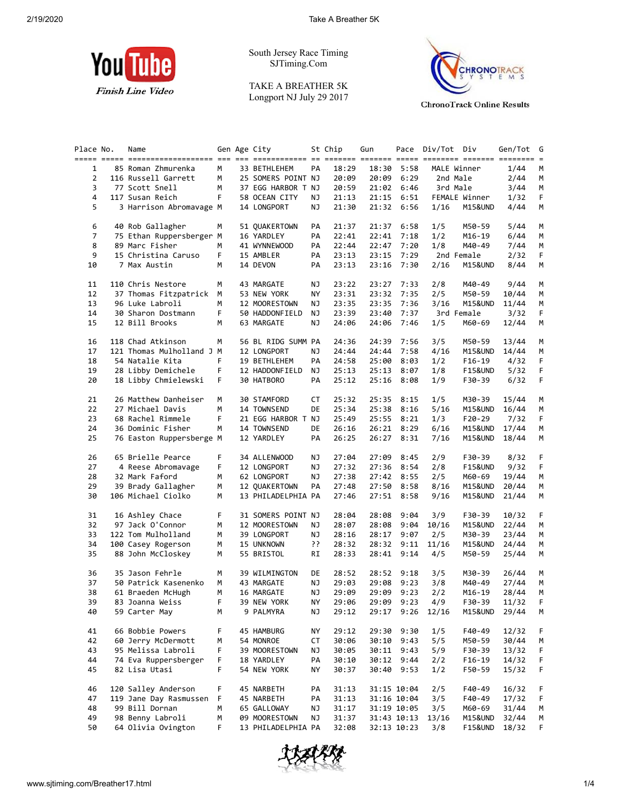

South Jersey Race Timing SJTiming.Com

TAKE A BREATHER 5K Longport NJ July 29 2017



| Place No.      | Name<br>----- ----- ---------------------- --- --- |    | Gen Age City       |     | St Chip | Gun   |             | Pace Div/Tot Div |                    | Gen/Tot | G  |
|----------------|----------------------------------------------------|----|--------------------|-----|---------|-------|-------------|------------------|--------------------|---------|----|
| 1              | 85 Roman Zhmurenka                                 | М  | 33 BETHLEHEM       | PA  | 18:29   | 18:30 | 5:58        |                  | MALE Winner        | 1/44    | М  |
| $\overline{2}$ | 116 Russell Garrett                                | М  | 25 SOMERS POINT NJ |     | 20:09   | 20:09 | 6:29        | 2nd Male         |                    | 2/44    | М  |
| 3              | 77 Scott Snell                                     | M  | 37 EGG HARBOR T NJ |     | 20:59   |       | 21:02 6:46  |                  | 3rd Male           | 3/44    | М  |
| 4              | 117 Susan Reich                                    | F. | 58 OCEAN CITY      | ΝJ  | 21:13   | 21:15 | 6:51        |                  | FEMALE Winner      | 1/32    | F  |
| 5              | 3 Harrison Abromavage M                            |    | 14 LONGPORT        | ΝJ  | 21:30   | 21:32 | 6:56        | 1/16             | M15&UND            | 4/44    | М  |
|                |                                                    |    |                    |     |         |       |             |                  |                    |         |    |
| 6              | 40 Rob Gallagher                                   | м  | 51 QUAKERTOWN      | PA  | 21:37   | 21:37 | 6:58        | 1/5              | M50-59             | 5/44    | M  |
| 7              | 75 Ethan Ruppersberger M                           |    | 16 YARDLEY         | PA  | 22:41   | 22:41 | 7:18        | 1/2              | M16-19             | 6/44    | М  |
| 8              | 89 Marc Fisher                                     | м  | 41 WYNNEWOOD       | PA  | 22:44   | 22:47 | 7:20        | 1/8              | M40-49             | 7/44    | М  |
| 9              | 15 Christina Caruso                                | F  | 15 AMBLER          | PA  | 23:13   | 23:15 | 7:29        |                  | 2nd Female         | 2/32    | F  |
| 10             | 7 Max Austin                                       | м  | 14 DEVON           | PA  | 23:13   | 23:16 | 7:30        | 2/16             | M15&UND            | 8/44    | М  |
| 11             | 110 Chris Nestore                                  | м  | 43 MARGATE         | ΝJ  | 23:22   | 23:27 | 7:33        | 2/8              | M40-49             | 9/44    | М  |
| 12             | 37 Thomas Fitzpatrick                              | М  | 53 NEW YORK        | ΝY  | 23:31   | 23:32 | 7:35        | 2/5              | M50-59             | 10/44   | М  |
| 13             | 96 Luke Labroli                                    | м  | 12 MOORESTOWN      | ΝJ  | 23:35   | 23:35 | 7:36        | 3/16             | M15&UND            | 11/44   | М  |
| 14             | 30 Sharon Dostmann                                 | F  | 50 HADDONFIELD     | ΝJ  | 23:39   | 23:40 | 7:37        |                  | 3rd Female         | 3/32    | F. |
| 15             | 12 Bill Brooks                                     | м  | 63 MARGATE         | ΝJ  | 24:06   | 24:06 | 7:46        | 1/5              | M60-69             | 12/44   | М  |
| 16             | 118 Chad Atkinson                                  | м  | 56 BL RIDG SUMM PA |     | 24:36   | 24:39 | 7:56        | 3/5              | M50-59             | 13/44   | M  |
| 17             | 121 Thomas Mulholland J M                          |    | 12 LONGPORT        | ΝJ  | 24:44   | 24:44 | 7:58        | 4/16             | M15&UND            | 14/44   | М  |
| 18             | 54 Natalie Kita                                    | F  | 19 BETHLEHEM       | PA  | 24:58   | 25:00 | 8:03        | 1/2              | $F16-19$           | 4/32    | F. |
| 19             | 28 Libby Demichele                                 | F  | 12 HADDONFIELD     | ΝJ  | 25:13   | 25:13 | 8:07        | 1/8              | <b>F15&amp;UND</b> | 5/32    | F  |
| 20             | 18 Libby Chmielewski                               | F. | 30 HATBORO         | PA  | 25:12   | 25:16 | 8:08        | 1/9              | F30-39             | 6/32    | F. |
| 21             | 26 Matthew Danheiser                               | М  | 30 STAMFORD        | СT  | 25:32   | 25:35 | 8:15        | 1/5              | M30-39             | 15/44   | М  |
| 22             | 27 Michael Davis                                   | М  | 14 TOWNSEND        | DE  | 25:34   | 25:38 | 8:16        | 5/16             | M15&UND            | 16/44   | М  |
| 23             | 68 Rachel Rimmele                                  | F. | 21 EGG HARBOR T NJ |     | 25:49   | 25:55 | 8:21        | 1/3              | $F20-29$           | 7/32    | F  |
| 24             | 36 Dominic Fisher                                  | м  | 14 TOWNSEND        | DE  | 26:16   | 26:21 | 8:29        | 6/16             | M15&UND            | 17/44   | М  |
| 25             | 76 Easton Ruppersberge M                           |    | 12 YARDLEY         | PA  | 26:25   | 26:27 | 8:31        | 7/16             | M15&UND            | 18/44   | М  |
| 26             | 65 Brielle Pearce                                  | F  | 34 ALLENWOOD       | NJ  | 27:04   | 27:09 | 8:45        | 2/9              | F30-39             | 8/32    | F  |
| 27             | 4 Reese Abromavage                                 | F  | 12 LONGPORT        | ΝJ  | 27:32   | 27:36 | 8:54        | 2/8              | <b>F15&amp;UND</b> | 9/32    | F. |
| 28             | 32 Mark Faford                                     | м  | 62 LONGPORT        | ΝJ  | 27:38   | 27:42 | 8:55        | 2/5              | M60-69             | 19/44   | М  |
| 29             | 39 Brady Gallagher                                 | м  | 12 QUAKERTOWN      | PA  | 27:48   | 27:50 | 8:58        | 8/16             | M15&UND            | 20/44   | М  |
| 30             | 106 Michael Ciolko                                 | М  | 13 PHILADELPHIA PA |     | 27:46   | 27:51 | 8:58        | 9/16             | M15&UND            | 21/44   | М  |
| 31             | 16 Ashley Chace                                    | F  | 31 SOMERS POINT NJ |     | 28:04   | 28:08 | 9:04        | 3/9              | F30-39             | 10/32   | F. |
| 32             | 97 Jack O'Connor                                   | М  | 12 MOORESTOWN      | ΝJ  | 28:07   | 28:08 | 9:04        | 10/16            | M15&UND            | 22/44   | М  |
| 33             | 122 Tom Mulholland                                 | М  | 39 LONGPORT        | ΝJ  | 28:16   | 28:17 | 9:07        | 2/5              | M30-39             | 23/44   | М  |
| 34             | 100 Casey Rogerson                                 | м  | 15 UNKNOWN         | יִי | 28:32   | 28:32 | 9:11        | 11/16            | M15&UND            | 24/44   | м  |
| 35             | 88 John McCloskey                                  | м  | 55 BRISTOL         | RI  | 28:33   |       | 28:41 9:14  | 4/5              | M50-59             | 25/44   | М  |
| 36             | 35 Jason Fehrle                                    | м  | 39 WILMINGTON      | DE  | 28:52   | 28:52 | 9:18        | 3/5              | M30-39             | 26/44   | M  |
| 37             | 50 Patrick Kasenenko                               | м  | 43 MARGATE         | NJ  | 29:03   | 29:08 | 9:23        | 3/8              | M40-49             | 27/44   | М  |
| 38             | 61 Braeden McHugh                                  | м  | 16 MARGATE         | NJ  | 29:09   | 29:09 | 9:23        | 2/2              | M16-19             | 28/44   | M  |
| 39             | 83 Joanna Weiss                                    | F  | 39 NEW YORK        | NY  | 29:06   |       | 29:09 9:23  | 4/9              | F30-39             | 11/32   | F  |
| 40             | 59 Carter May                                      | м  | 9 PALMYRA          | ΝJ  | 29:12   | 29:17 | 9:26        | 12/16            | M15&UND            | 29/44   | М  |
| 41             | 66 Bobbie Powers                                   | F. | 45 HAMBURG         | ΝY  | 29:12   | 29:30 | 9:30        | 1/5              | F40-49             | 12/32   | F. |
| 42             | 60 Jerry McDermott                                 | м  | 54 MONROE          | СT  | 30:06   | 30:10 | 9:43        | 5/5              | M50-59             | 30/44   | М  |
| 43             | 95 Melissa Labroli                                 | F. | 39 MOORESTOWN      | ΝJ  | 30:05   |       | 30:11 9:43  | 5/9              | F30-39             | 13/32   | F  |
| 44             | 74 Eva Ruppersberger                               | F  | 18 YARDLEY         | PA  | 30:10   | 30:12 | 9:44        | 2/2              | F16-19             | 14/32   | F  |
| 45             | 82 Lisa Utasi                                      | F. | 54 NEW YORK        | ΝY  | 30:37   |       | 30:40 9:53  | 1/2              | F50-59             | 15/32   | F  |
| 46             | 120 Salley Anderson                                | F  | 45 NARBETH         | PA  | 31:13   |       | 31:15 10:04 | 2/5              | F40-49             | 16/32   | F. |
| 47             | 119 Jane Day Rasmussen                             | F  | 45 NARBETH         | PA  | 31:13   |       | 31:16 10:04 | 3/5              | F40-49             | 17/32   | F. |
| 48             | 99 Bill Dornan                                     | м  | 65 GALLOWAY        | ΝJ  | 31:17   |       | 31:19 10:05 | 3/5              | M60-69             | 31/44   | M  |
| 49             | 98 Benny Labroli                                   | м  | 09 MOORESTOWN      | ΝJ  | 31:37   |       | 31:43 10:13 | 13/16            | M15&UND            | 32/44   | M  |
| 50             | 64 Olivia Ovington                                 | F. | 13 PHILADELPHIA PA |     | 32:08   |       | 32:13 10:23 | 3/8              | <b>F15&amp;UND</b> | 18/32   | F. |

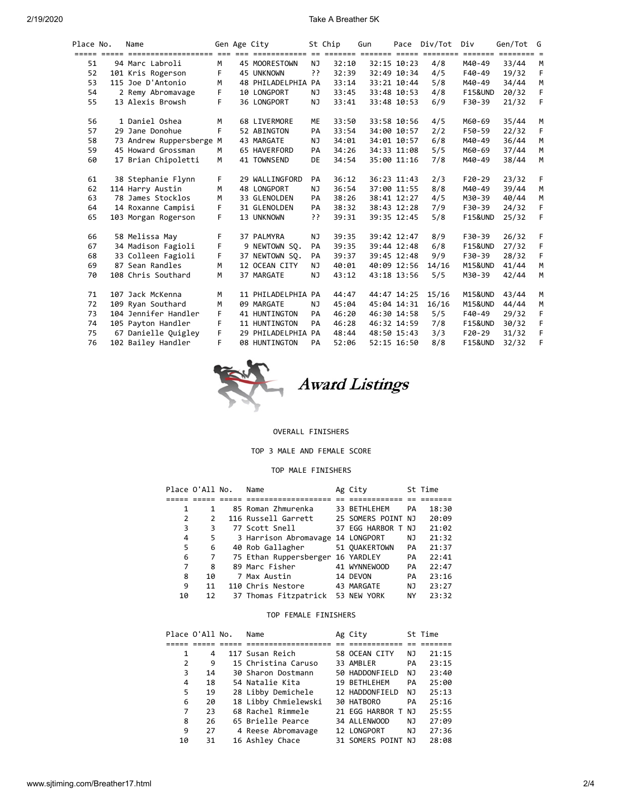#### 2/19/2020 Take A Breather 5K

| Place No. | Name                     |    | Gen Age City       |     | St Chip | Gun         | Pace        | Div/Tot | Div                | Gen/Tot G |    |
|-----------|--------------------------|----|--------------------|-----|---------|-------------|-------------|---------|--------------------|-----------|----|
|           |                          |    |                    |     |         |             |             |         |                    |           |    |
| 51        | 94 Marc Labroli          | M  | 45 MOORESTOWN      | NJ. | 32:10   |             | 32:15 10:23 | 4/8     | M40-49             | 33/44     | M  |
| 52        | 101 Kris Rogerson        | F  | 45 UNKNOWN         | יִ  | 32:39   |             | 32:49 10:34 | 4/5     | F40-49             | 19/32     | F. |
| 53        | 115 Joe D'Antonio        | м  | 48 PHILADELPHIA PA |     | 33:14   |             | 33:21 10:44 | 5/8     | M40-49             | 34/44     | M  |
| 54        | 2 Remy Abromavage        | F. | 10 LONGPORT        | NJ  | 33:45   |             | 33:48 10:53 | 4/8     | <b>F15&amp;UND</b> | 20/32     | F  |
| 55        | 13 Alexis Browsh         | F  | 36 LONGPORT        | NJ  | 33:41   |             | 33:48 10:53 | 6/9     | F30-39             | 21/32     | F  |
| 56        | 1 Daniel Oshea           | M  | 68 LIVERMORE       | ME  | 33:50   |             | 33:58 10:56 | 4/5     | M60-69             | 35/44     | M  |
| 57        | 29 Jane Donohue          | F  | 52 ABINGTON        | PA  | 33:54   |             | 34:00 10:57 | 2/2     | F50-59             | 22/32     | F  |
| 58        | 73 Andrew Ruppersberge M |    | 43 MARGATE         | NJ. | 34:01   |             | 34:01 10:57 | 6/8     | M40-49             | 36/44     | M  |
| 59        | 45 Howard Grossman       | M  | 65 HAVERFORD       | PA  | 34:26   |             | 34:33 11:08 | 5/5     | M60-69             | 37/44     | M  |
| 60        | 17 Brian Chipoletti      | M  | 41 TOWNSEND        | DE  | 34:54   |             | 35:00 11:16 | 7/8     | M40-49             | 38/44     | M  |
| 61        | 38 Stephanie Flynn       | F. | 29 WALLINGFORD     | PA  | 36:12   |             | 36:23 11:43 | 2/3     | $F20-29$           | 23/32     | F. |
| 62        | 114 Harry Austin         | м  | 48 LONGPORT        | NJ  | 36:54   |             | 37:00 11:55 | 8/8     | M40-49             | 39/44     | M  |
| 63        | 78 James Stocklos        | M  | 33 GLENOLDEN       | PA  | 38:26   |             | 38:41 12:27 | 4/5     | M30-39             | 40/44     | M  |
| 64        | 14 Roxanne Campisi       | F  | 31 GLENOLDEN       | PA  | 38:32   |             | 38:43 12:28 | 7/9     | F30-39             | 24/32     | F  |
| 65        | 103 Morgan Rogerson      | F  | 13 UNKNOWN         | יִ  | 39:31   |             | 39:35 12:45 | 5/8     | <b>F15&amp;UND</b> | 25/32     | F  |
| 66        | 58 Melissa May           | F  | 37 PALMYRA         | NJ  | 39:35   |             | 39:42 12:47 | 8/9     | F30-39             | 26/32     | F. |
| 67        | 34 Madison Fagioli       | F  | 9 NEWTOWN SO.      | PA  | 39:35   |             | 39:44 12:48 | 6/8     | <b>F15&amp;UND</b> | 27/32     | F  |
| 68        | 33 Colleen Fagioli       | F  | 37 NEWTOWN SO.     | PA  | 39:37   |             | 39:45 12:48 | 9/9     | F30-39             | 28/32     | F  |
| 69        | 87 Sean Randles          | M  | 12 OCEAN CITY      | NJ  | 40:01   |             | 40:09 12:56 | 14/16   | M15&UND            | 41/44     | M  |
| 70        | 108 Chris Southard       | M  | 37 MARGATE         | NJ  | 43:12   |             | 43:18 13:56 | 5/5     | M30-39             | 42/44     | M  |
| 71        | 107 Jack McKenna         | M  | 11 PHILADELPHIA PA |     | 44:47   |             | 44:47 14:25 | 15/16   | <b>M15&amp;UND</b> | 43/44     | M  |
| 72        | 109 Ryan Southard        | M  | 09 MARGATE         | NJ  | 45:04   | 45:04 14:31 |             | 16/16   | M15&UND            | 44/44     | M  |
| 73        | 104 Jennifer Handler     | F  | 41 HUNTINGTON      | PA  | 46:20   |             | 46:30 14:58 | 5/5     | F40-49             | 29/32     | F. |
| 74        | 105 Payton Handler       | F  | 11 HUNTINGTON      | PA  | 46:28   |             | 46:32 14:59 | 7/8     | <b>F15&amp;UND</b> | 30/32     | F  |
| 75        | 67 Danielle Quigley      | F  | 29 PHILADELPHIA PA |     | 48:44   |             | 48:50 15:43 | 3/3     | F20-29             | 31/32     | F  |
| 76        | 102 Bailey Handler       | F  | 08 HUNTINGTON      | PA  | 52:06   |             | 52:15 16:50 | 8/8     | <b>F15&amp;UND</b> | 32/32     | F  |



### OVERALL FINISHERS

TOP 3 MALE AND FEMALE SCORE

### TOP MALE FINISHERS

| Place O'All No. |    | Name                              | Ag City            |     | St Time |
|-----------------|----|-----------------------------------|--------------------|-----|---------|
|                 |    |                                   |                    |     |         |
| 1               | 1  | 85 Roman Zhmurenka                | 33 BETHLEHEM       | PA  | 18:30   |
| 2               | 2  | 116 Russell Garrett               | 25 SOMERS POINT NJ |     | 20:09   |
| 3               | 3  | 77 Scott Snell                    | 37 EGG HARBOR T NJ |     | 21:02   |
| 4               | 5  | 3 Harrison Abromavage 14 LONGPORT |                    | NJ. | 21:32   |
| 5               | 6  | 40 Rob Gallagher                  | 51 OUAKERTOWN      | PA  | 21:37   |
| 6               | 7  | 75 Ethan Ruppersberger 16 YARDLEY |                    | PA  | 22:41   |
| 7               | 8  | 89 Marc Fisher                    | 41 WYNNEWOOD       | PA  | 22:47   |
| 8               | 10 | 7 Max Austin                      | 14 DEVON           | PA  | 23:16   |
| 9               | 11 | 110 Chris Nestore                 | 43 MARGATE         | NJ  | 23:27   |
| 10              | 12 | 37 Thomas Fitzpatrick 53 NEW YORK |                    | ΝY  | 23:32   |

# TOP FEMALE FINISHERS

|    | Place O'All No. | Name                 | Ag City            |    | St Time |
|----|-----------------|----------------------|--------------------|----|---------|
|    |                 |                      |                    |    |         |
| 1  | 4               | 117 Susan Reich      | 58 OCEAN CITY      | NJ | 21:15   |
| 2  | 9               | 15 Christina Caruso  | 33 AMBLER          | PA | 23:15   |
| 3  | 14              | 30 Sharon Dostmann   | 50 HADDONFIELD     | ΝJ | 23:40   |
| 4  | 18              | 54 Natalie Kita      | 19 BETHLEHEM       | PA | 25:00   |
| 5  | 19              | 28 Libby Demichele   | 12 HADDONFIELD     | ΝJ | 25:13   |
| 6  | 20              | 18 Libby Chmielewski | 30 HATBORO         | PA | 25:16   |
| 7  | 23              | 68 Rachel Rimmele    | 21 EGG HARBOR T NJ |    | 25:55   |
| 8  | 26              | 65 Brielle Pearce    | 34 ALLENWOOD       | NJ | 27:09   |
| 9  | 27              | 4 Reese Abromavage   | 12 LONGPORT        | NJ | 27:36   |
| 10 | 31              | 16 Ashley Chace      | 31 SOMERS POINT NJ |    | 28:08   |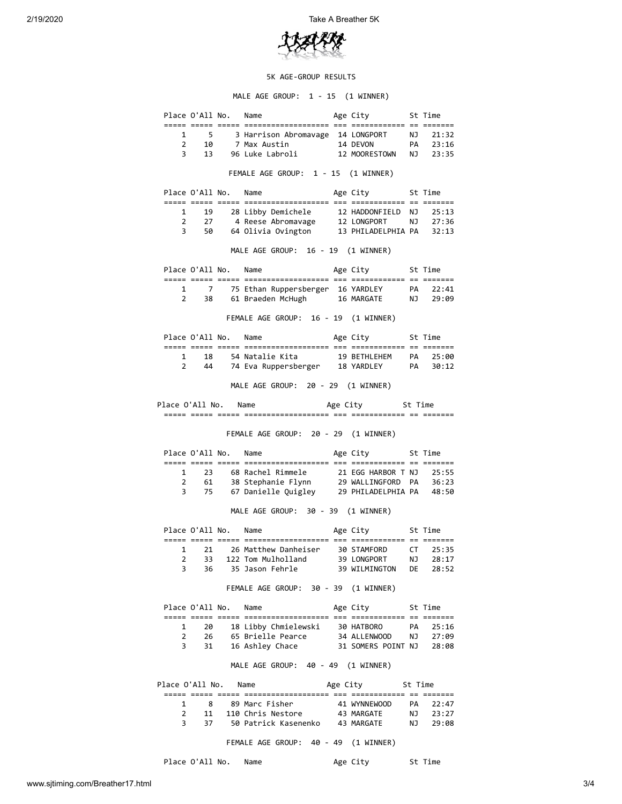

# 5K AGE-GROUP RESULTS

MALE AGE GROUP: 1 - 15 (1 WINNER)

|                                          |            | Place O'All No. Name |                                                                                                                          |  | Age City<br>St Time |                    |                            |  |  |  |  |  |  |
|------------------------------------------|------------|----------------------|--------------------------------------------------------------------------------------------------------------------------|--|---------------------|--------------------|----------------------------|--|--|--|--|--|--|
| $\overline{2}$<br>3                      | 13         |                      | 1 5 3 Harrison Abromavage 14 LONGPORT<br>10 7 Max Austin<br>14 DEVON<br>96 Luke Labroli 12 MOORESTOWN NJ                 |  | <b>PA</b>           |                    | NJ 21:32<br>23:16<br>23:35 |  |  |  |  |  |  |
|                                          |            |                      | FEMALE AGE GROUP: 1 - 15 (1 WINNER)                                                                                      |  |                     |                    |                            |  |  |  |  |  |  |
|                                          |            |                      | Place O'All No. Name                                                                                                     |  | Age City 5t Time    |                    |                            |  |  |  |  |  |  |
| 1                                        | 19         |                      | 28 Libby Demichele                                                                                                       |  | 12 HADDONFIELD      | NJ                 | 25:13                      |  |  |  |  |  |  |
| $\mathbf{2}$                             |            |                      | 27 4 Reese Abromavage 12 LONGPORT NJ<br>50 64 Olivia Ovington 13 PHILADELPHIA PA                                         |  |                     |                    | 27:36                      |  |  |  |  |  |  |
| 3                                        |            |                      |                                                                                                                          |  |                     |                    | 32:13                      |  |  |  |  |  |  |
| MALE AGE GROUP: 16 - 19 (1 WINNER)       |            |                      |                                                                                                                          |  |                     |                    |                            |  |  |  |  |  |  |
|                                          |            | Place O'All No. Name |                                                                                                                          |  | Age City 5t Time    |                    |                            |  |  |  |  |  |  |
| $\mathbf{1}$                             |            |                      |                                                                                                                          |  |                     |                    |                            |  |  |  |  |  |  |
|                                          | $2^{\sim}$ |                      | 7 75 Ethan Ruppersberger 16 YARDLEY        PA    22:41<br>38      61 Braeden McHugh        16 MARGATE        NJ    29:09 |  |                     |                    |                            |  |  |  |  |  |  |
|                                          |            |                      | FEMALE AGE GROUP: 16 - 19 (1 WINNER)                                                                                     |  |                     |                    |                            |  |  |  |  |  |  |
|                                          |            |                      | Place O'All No. Name                                                                                                     |  | Age City            |                    | St Time                    |  |  |  |  |  |  |
|                                          |            |                      |                                                                                                                          |  |                     |                    |                            |  |  |  |  |  |  |
| 1<br>$2^{\circ}$                         | 18<br>44   |                      |                                                                                                                          |  |                     |                    |                            |  |  |  |  |  |  |
|                                          |            |                      |                                                                                                                          |  |                     |                    |                            |  |  |  |  |  |  |
| MALE AGE GROUP: 20 - 29 (1 WINNER)       |            |                      |                                                                                                                          |  |                     |                    |                            |  |  |  |  |  |  |
| Age City 5t Time<br>Place O'All No. Name |            |                      |                                                                                                                          |  |                     |                    |                            |  |  |  |  |  |  |
|                                          |            |                      |                                                                                                                          |  |                     |                    |                            |  |  |  |  |  |  |
|                                          |            |                      | FEMALE AGE GROUP: 20 - 29 (1 WINNER)                                                                                     |  |                     |                    |                            |  |  |  |  |  |  |
|                                          |            |                      | Place O'All No. Name                                                                                                     |  | Age City 5t Time    |                    |                            |  |  |  |  |  |  |
| 1                                        | 23         |                      |                                                                                                                          |  |                     |                    |                            |  |  |  |  |  |  |
| $\mathbf{2}$                             | 61         |                      |                                                                                                                          |  |                     |                    |                            |  |  |  |  |  |  |
| 3                                        | 75         |                      |                                                                                                                          |  |                     |                    |                            |  |  |  |  |  |  |
|                                          |            |                      | 67 Danielle Quigley 29 PHILADELPHIA PA 48:50<br>MALE AGE GROUP: 30 - 39 (1 WINNER)                                       |  |                     |                    |                            |  |  |  |  |  |  |
|                                          |            |                      |                                                                                                                          |  |                     |                    |                            |  |  |  |  |  |  |
|                                          |            | Place O'All No. Name |                                                                                                                          |  | Age City 5t Time    |                    |                            |  |  |  |  |  |  |
|                                          |            |                      |                                                                                                                          |  |                     |                    |                            |  |  |  |  |  |  |
| 1                                        |            |                      | 21 26 Matthew Danheiser 30 STAMFORD                                                                                      |  |                     | CT and the control | 25:35                      |  |  |  |  |  |  |
| 3                                        |            |                      | 2 33 122 Tom Mulholland 39 LONGPORT NJ 28:17                                                                             |  |                     |                    |                            |  |  |  |  |  |  |
|                                          |            |                      | 36 35 Jason Fehrle 39 WILMINGTON DE 28:52<br>FEMALE AGE GROUP: 30 - 39 (1 WINNER)                                        |  |                     |                    |                            |  |  |  |  |  |  |
|                                          |            | Place O'All No. Name |                                                                                                                          |  |                     |                    |                            |  |  |  |  |  |  |
|                                          |            |                      |                                                                                                                          |  | Age City 5t Time    |                    |                            |  |  |  |  |  |  |
|                                          |            |                      | 1 20 18 Libby Chmielewski 30 HATBORO PA 25:16                                                                            |  |                     |                    |                            |  |  |  |  |  |  |
|                                          |            |                      |                                                                                                                          |  |                     |                    |                            |  |  |  |  |  |  |
|                                          |            |                      | 2 26 65 Brielle Pearce 34 ALLENWOOD NJ 27:09<br>3 31 16 Ashley Chace 31 SOMERS POINT NJ 28:08                            |  |                     |                    |                            |  |  |  |  |  |  |
|                                          |            |                      | MALE AGE GROUP: 40 - 49 (1 WINNER)                                                                                       |  |                     |                    |                            |  |  |  |  |  |  |
|                                          |            |                      | Place O'All No. Name                                                                                                     |  | Age City 5t Time    |                    |                            |  |  |  |  |  |  |
|                                          |            |                      |                                                                                                                          |  |                     |                    |                            |  |  |  |  |  |  |
|                                          |            |                      |                                                                                                                          |  |                     |                    | 22:47<br>NJ 23:27          |  |  |  |  |  |  |
| 3                                        |            |                      | 37 50 Patrick Kasenenko 43 MARGATE NJ                                                                                    |  |                     |                    | 29:08                      |  |  |  |  |  |  |

Place O'All No. Name Age City St Time

www.sjtiming.com/Breather17.html 3/4